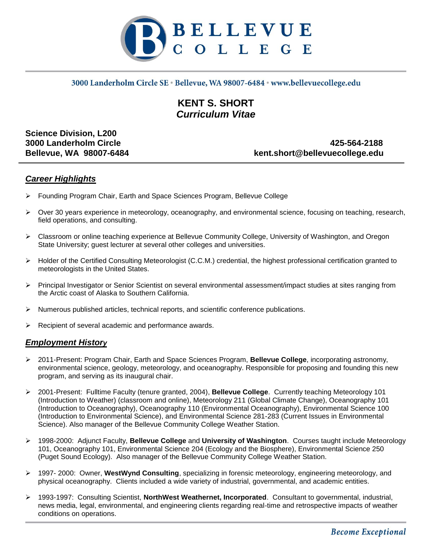

### 3000 Landerholm Circle SE · Bellevue, WA 98007-6484 · www.bellevuecollege.edu

# **KENT S. SHORT** *Curriculum Vitae*

**Science Division, L200**

**3000 Landerholm Circle 425-564-2188 Bellevue, WA 98007-6484 kent.short@bellevuecollege.edu**

### *Career Highlights*

- Founding Program Chair, Earth and Space Sciences Program, Bellevue College
- $\triangleright$  Over 30 years experience in meteorology, oceanography, and environmental science, focusing on teaching, research, field operations, and consulting.
- Classroom or online teaching experience at Bellevue Community College, University of Washington, and Oregon State University; guest lecturer at several other colleges and universities.
- $\triangleright$  Holder of the Certified Consulting Meteorologist (C.C.M.) credential, the highest professional certification granted to meteorologists in the United States.
- Principal Investigator or Senior Scientist on several environmental assessment/impact studies at sites ranging from the Arctic coast of Alaska to Southern California.
- $\triangleright$  Numerous published articles, technical reports, and scientific conference publications.
- $\triangleright$  Recipient of several academic and performance awards.

### *Employment History*

- 2011-Present: Program Chair, Earth and Space Sciences Program, **Bellevue College**, incorporating astronomy, environmental science, geology, meteorology, and oceanography. Responsible for proposing and founding this new program, and serving as its inaugural chair.
- 2001-Present: Fulltime Faculty (tenure granted, 2004), **Bellevue College**. Currently teaching Meteorology 101 (Introduction to Weather) (classroom and online), Meteorology 211 (Global Climate Change), Oceanography 101 (Introduction to Oceanography), Oceanography 110 (Environmental Oceanography), Environmental Science 100 (Introduction to Environmental Science), and Environmental Science 281-283 (Current Issues in Environmental Science). Also manager of the Bellevue Community College Weather Station.
- 1998-2000: Adjunct Faculty, **Bellevue College** and **University of Washington**. Courses taught include Meteorology 101, Oceanography 101, Environmental Science 204 (Ecology and the Biosphere), Environmental Science 250 (Puget Sound Ecology). Also manager of the Bellevue Community College Weather Station.
- 1997- 2000: Owner, **WestWynd Consulting**, specializing in forensic meteorology, engineering meteorology, and physical oceanography. Clients included a wide variety of industrial, governmental, and academic entities.
- 1993-1997: Consulting Scientist, **NorthWest Weathernet, Incorporated**. Consultant to governmental, industrial, news media, legal, environmental, and engineering clients regarding real-time and retrospective impacts of weather conditions on operations.